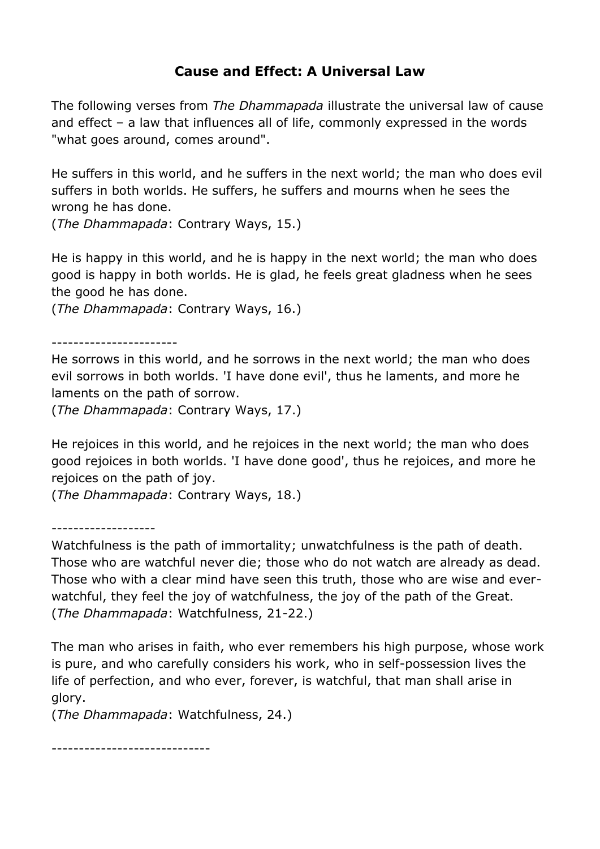## **Cause and Effect: A Universal Law**

The following verses from *The Dhammapada* illustrate the universal law of cause and effect – a law that influences all of life, commonly expressed in the words "what goes around, comes around".

He suffers in this world, and he suffers in the next world; the man who does evil suffers in both worlds. He suffers, he suffers and mourns when he sees the wrong he has done.

(*The Dhammapada*: Contrary Ways, 15.)

He is happy in this world, and he is happy in the next world; the man who does good is happy in both worlds. He is glad, he feels great gladness when he sees the good he has done.

(*The Dhammapada*: Contrary Ways, 16.)

-----------------------

He sorrows in this world, and he sorrows in the next world; the man who does evil sorrows in both worlds. 'I have done evil', thus he laments, and more he laments on the path of sorrow.

(*The Dhammapada*: Contrary Ways, 17.)

He rejoices in this world, and he rejoices in the next world; the man who does good rejoices in both worlds. 'I have done good', thus he rejoices, and more he rejoices on the path of joy.

(*The Dhammapada*: Contrary Ways, 18.)

-------------------

Watchfulness is the path of immortality; unwatchfulness is the path of death. Those who are watchful never die; those who do not watch are already as dead. Those who with a clear mind have seen this truth, those who are wise and everwatchful, they feel the joy of watchfulness, the joy of the path of the Great. (*The Dhammapada*: Watchfulness, 21-22.)

The man who arises in faith, who ever remembers his high purpose, whose work is pure, and who carefully considers his work, who in self-possession lives the life of perfection, and who ever, forever, is watchful, that man shall arise in glory.

(*The Dhammapada*: Watchfulness, 24.)

-----------------------------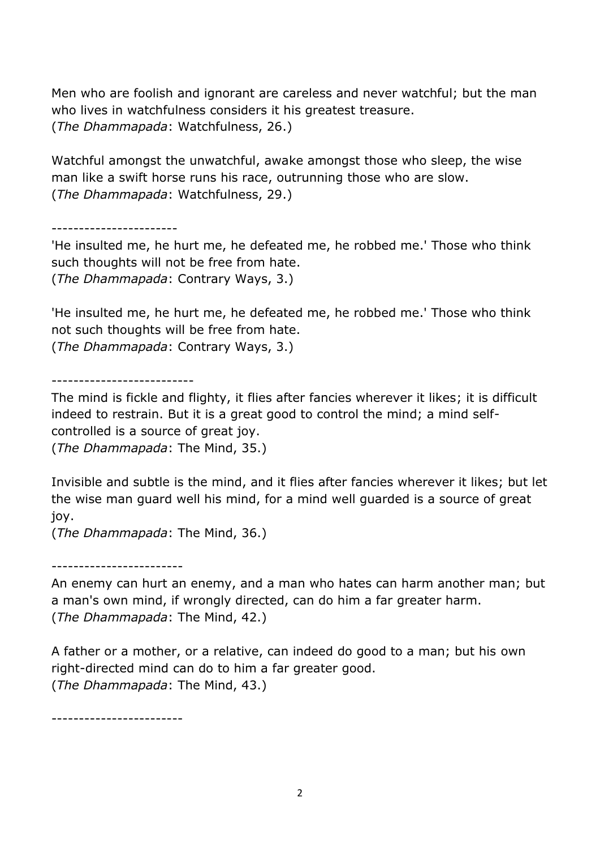Men who are foolish and ignorant are careless and never watchful; but the man who lives in watchfulness considers it his greatest treasure. (*The Dhammapada*: Watchfulness, 26.)

Watchful amongst the unwatchful, awake amongst those who sleep, the wise man like a swift horse runs his race, outrunning those who are slow. (*The Dhammapada*: Watchfulness, 29.)

-----------------------

'He insulted me, he hurt me, he defeated me, he robbed me.' Those who think such thoughts will not be free from hate. (*The Dhammapada*: Contrary Ways, 3.)

'He insulted me, he hurt me, he defeated me, he robbed me.' Those who think not such thoughts will be free from hate. (*The Dhammapada*: Contrary Ways, 3.)

--------------------------

The mind is fickle and flighty, it flies after fancies wherever it likes; it is difficult indeed to restrain. But it is a great good to control the mind; a mind selfcontrolled is a source of great joy.

(*The Dhammapada*: The Mind, 35.)

Invisible and subtle is the mind, and it flies after fancies wherever it likes; but let the wise man guard well his mind, for a mind well guarded is a source of great joy.

(*The Dhammapada*: The Mind, 36.)

------------------------

An enemy can hurt an enemy, and a man who hates can harm another man; but a man's own mind, if wrongly directed, can do him a far greater harm. (*The Dhammapada*: The Mind, 42.)

A father or a mother, or a relative, can indeed do good to a man; but his own right-directed mind can do to him a far greater good. (*The Dhammapada*: The Mind, 43.)

------------------------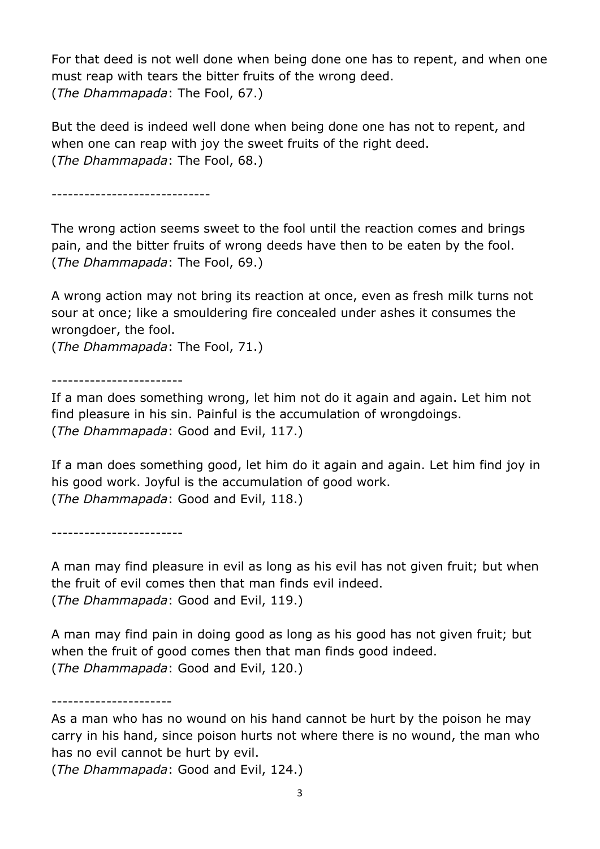For that deed is not well done when being done one has to repent, and when one must reap with tears the bitter fruits of the wrong deed. (*The Dhammapada*: The Fool, 67.)

But the deed is indeed well done when being done one has not to repent, and when one can reap with joy the sweet fruits of the right deed. (*The Dhammapada*: The Fool, 68.)

-----------------------------

The wrong action seems sweet to the fool until the reaction comes and brings pain, and the bitter fruits of wrong deeds have then to be eaten by the fool. (*The Dhammapada*: The Fool, 69.)

A wrong action may not bring its reaction at once, even as fresh milk turns not sour at once; like a smouldering fire concealed under ashes it consumes the wrongdoer, the fool.

(*The Dhammapada*: The Fool, 71.)

------------------------

If a man does something wrong, let him not do it again and again. Let him not find pleasure in his sin. Painful is the accumulation of wrongdoings. (*The Dhammapada*: Good and Evil, 117.)

If a man does something good, let him do it again and again. Let him find joy in his good work. Joyful is the accumulation of good work. (*The Dhammapada*: Good and Evil, 118.)

------------------------

A man may find pleasure in evil as long as his evil has not given fruit; but when the fruit of evil comes then that man finds evil indeed. (*The Dhammapada*: Good and Evil, 119.)

A man may find pain in doing good as long as his good has not given fruit; but when the fruit of good comes then that man finds good indeed. (*The Dhammapada*: Good and Evil, 120.)

----------------------

(*The Dhammapada*: Good and Evil, 124.)

As a man who has no wound on his hand cannot be hurt by the poison he may carry in his hand, since poison hurts not where there is no wound, the man who has no evil cannot be hurt by evil.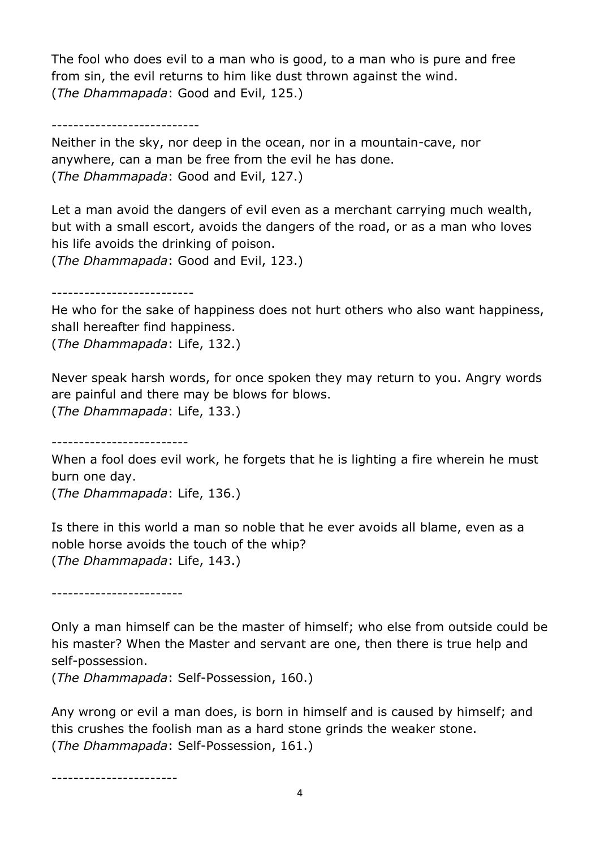The fool who does evil to a man who is good, to a man who is pure and free from sin, the evil returns to him like dust thrown against the wind. (*The Dhammapada*: Good and Evil, 125.)

---------------------------

Neither in the sky, nor deep in the ocean, nor in a mountain-cave, nor anywhere, can a man be free from the evil he has done. (*The Dhammapada*: Good and Evil, 127.)

Let a man avoid the dangers of evil even as a merchant carrying much wealth, but with a small escort, avoids the dangers of the road, or as a man who loves his life avoids the drinking of poison.

(*The Dhammapada*: Good and Evil, 123.)

--------------------------

He who for the sake of happiness does not hurt others who also want happiness, shall hereafter find happiness.

(*The Dhammapada*: Life, 132.)

Never speak harsh words, for once spoken they may return to you. Angry words are painful and there may be blows for blows.

(*The Dhammapada*: Life, 133.)

-------------------------

When a fool does evil work, he forgets that he is lighting a fire wherein he must burn one day.

(*The Dhammapada*: Life, 136.)

Is there in this world a man so noble that he ever avoids all blame, even as a noble horse avoids the touch of the whip? (*The Dhammapada*: Life, 143.)

------------------------

Only a man himself can be the master of himself; who else from outside could be his master? When the Master and servant are one, then there is true help and self-possession.

(*The Dhammapada*: Self-Possession, 160.)

Any wrong or evil a man does, is born in himself and is caused by himself; and this crushes the foolish man as a hard stone grinds the weaker stone. (*The Dhammapada*: Self-Possession, 161.)

-----------------------